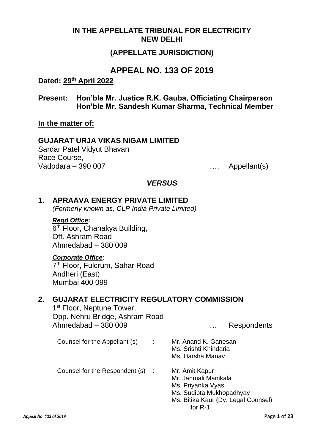#### **IN THE APPELLATE TRIBUNAL FOR ELECTRICITY NEW DELHI**

### **(APPELLATE JURISDICTION)**

### **APPEAL NO. 133 OF 2019**

#### **Dated: 29th April 2022**

**Present: Hon'ble Mr. Justice R.K. Gauba, Officiating Chairperson Hon'ble Mr. Sandesh Kumar Sharma, Technical Member**

**In the matter of:**

#### **GUJARAT URJA VIKAS NIGAM LIMITED**

Sardar Patel Vidyut Bhavan Race Course, Vadodara – 390 007 …. Appellant(s)

#### *VERSUS*

#### **1. APRAAVA ENERGY PRIVATE LIMITED**

*(Formerly known as, CLP India Private Limited)*

# *Regd Office***:**

6<sup>th</sup> Floor, Chanakya Building, Off. Ashram Road Ahmedabad – 380 009

#### *Corporate Office***:**

7<sup>th</sup> Floor, Fulcrum, Sahar Road Andheri (East) Mumbai 400 099

#### **2. GUJARAT ELECTRICITY REGULATORY COMMISSION**

1<sup>st</sup> Floor, Neptune Tower, Opp. Nehru Bridge, Ashram Road Ahmedabad – 380 009 … Respondents

Counsel for the Appellant (s) : Mr. Anand K. Ganesan Ms. Srishti Khindaria Ms. Harsha Manav Counsel for the Respondent (s) : Mr. Amit Kapur Mr. Janmali Manikala Ms. Priyanka Vyas

- Ms. Sudipta Mukhopadhyay
- Ms. Bitika Kaur (Dy. Legal Counsel) for R-1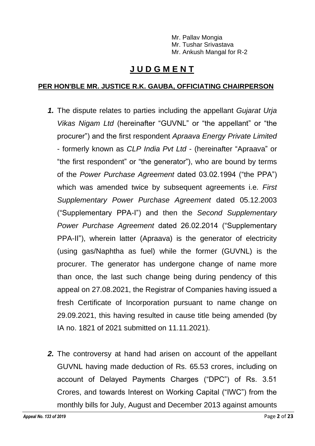Mr. Pallav Mongia Mr. Tushar Srivastava Mr. Ankush Mangal for R-2

## **J U D G M E N T**

#### **PER HON'BLE MR. JUSTICE R.K. GAUBA, OFFICIATING CHAIRPERSON**

- *1.* The dispute relates to parties including the appellant *Gujarat Urja Vikas Nigam Ltd* (hereinafter "GUVNL" or "the appellant" or "the procurer") and the first respondent *Apraava Energy Private Limited* - formerly known as *CLP India Pvt Ltd* - (hereinafter "Apraava" or "the first respondent" or "the generator"), who are bound by terms of the *Power Purchase Agreement* dated 03.02.1994 ("the PPA") which was amended twice by subsequent agreements i.e. *First Supplementary Power Purchase Agreement* dated 05.12.2003 ("Supplementary PPA-I") and then the *Second Supplementary Power Purchase Agreement* dated 26.02.2014 ("Supplementary PPA-II"), wherein latter (Apraava) is the generator of electricity (using gas/Naphtha as fuel) while the former (GUVNL) is the procurer. The generator has undergone change of name more than once, the last such change being during pendency of this appeal on 27.08.2021, the Registrar of Companies having issued a fresh Certificate of Incorporation pursuant to name change on 29.09.2021, this having resulted in cause title being amended (by IA no. 1821 of 2021 submitted on 11.11.2021).
- *2.* The controversy at hand had arisen on account of the appellant GUVNL having made deduction of Rs. 65.53 crores, including on account of Delayed Payments Charges ("DPC") of Rs. 3.51 Crores, and towards Interest on Working Capital ("IWC") from the monthly bills for July, August and December 2013 against amounts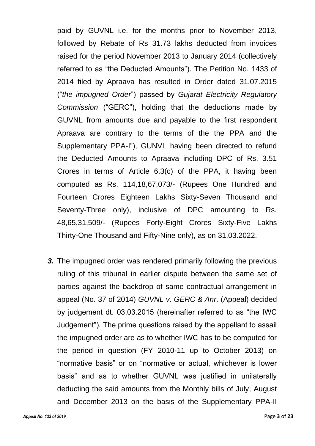paid by GUVNL i.e. for the months prior to November 2013, followed by Rebate of Rs 31.73 lakhs deducted from invoices raised for the period November 2013 to January 2014 (collectively referred to as "the Deducted Amounts"). The Petition No. 1433 of 2014 filed by Apraava has resulted in Order dated 31.07.2015 ("*the impugned Order*") passed by *Gujarat Electricity Regulatory Commission* ("GERC"), holding that the deductions made by GUVNL from amounts due and payable to the first respondent Apraava are contrary to the terms of the the PPA and the Supplementary PPA-I"), GUNVL having been directed to refund the Deducted Amounts to Apraava including DPC of Rs. 3.51 Crores in terms of Article 6.3(c) of the PPA, it having been computed as Rs. 114,18,67,073/- (Rupees One Hundred and Fourteen Crores Eighteen Lakhs Sixty-Seven Thousand and Seventy-Three only), inclusive of DPC amounting to Rs. 48,65,31,509/- (Rupees Forty-Eight Crores Sixty-Five Lakhs Thirty-One Thousand and Fifty-Nine only), as on 31.03.2022.

*3.* The impugned order was rendered primarily following the previous ruling of this tribunal in earlier dispute between the same set of parties against the backdrop of same contractual arrangement in appeal (No. 37 of 2014) *GUVNL v. GERC & Anr*. (Appeal) decided by judgement dt. 03.03.2015 (hereinafter referred to as "the IWC Judgement"). The prime questions raised by the appellant to assail the impugned order are as to whether IWC has to be computed for the period in question (FY 2010-11 up to October 2013) on "normative basis" or on "normative or actual, whichever is lower basis" and as to whether GUVNL was justified in unilaterally deducting the said amounts from the Monthly bills of July, August and December 2013 on the basis of the Supplementary PPA-II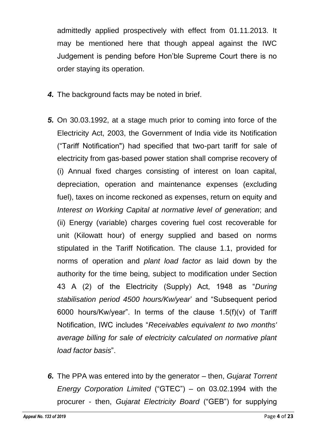admittedly applied prospectively with effect from 01.11.2013. It may be mentioned here that though appeal against the IWC Judgement is pending before Hon'ble Supreme Court there is no order staying its operation.

- *4.* The background facts may be noted in brief.
- *5.* On 30.03.1992, at a stage much prior to coming into force of the Electricity Act, 2003, the Government of India vide its Notification ("Tariff Notification") had specified that two-part tariff for sale of electricity from gas-based power station shall comprise recovery of (i) Annual fixed charges consisting of interest on loan capital, depreciation, operation and maintenance expenses (excluding fuel), taxes on income reckoned as expenses, return on equity and *Interest on Working Capital at normative level of generation*; and (ii) Energy (variable) charges covering fuel cost recoverable for unit (Kilowatt hour) of energy supplied and based on norms stipulated in the Tariff Notification. The clause 1.1, provided for norms of operation and *plant load factor* as laid down by the authority for the time being, subject to modification under Section 43 A (2) of the Electricity (Supply) Act, 1948 as "*During stabilisation period 4500 hours/Kw/year*' and "Subsequent period 6000 hours/Kw/year". In terms of the clause 1.5(f)(v) of Tariff Notification, IWC includes "*Receivables equivalent to two months' average billing for sale of electricity calculated on normative plant load factor basis*".
- *6.* The PPA was entered into by the generator then, *Gujarat Torrent Energy Corporation Limited* ("GTEC") – on 03.02.1994 with the procurer - then, *Gujarat Electricity Board* ("GEB") for supplying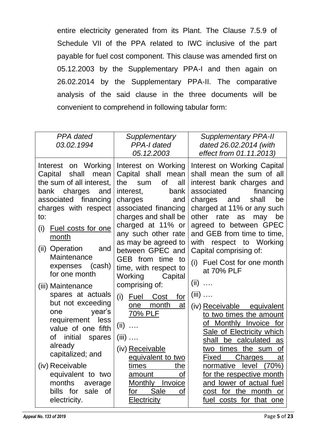entire electricity generated from its Plant. The Clause 7.5.9 of Schedule VII of the PPA related to IWC inclusive of the part payable for fuel cost component. This clause was amended first on 05.12.2003 by the Supplementary PPA-I and then again on 26.02.2014 by the Supplementary PPA-II. The comparative analysis of the said clause in the three documents will be convenient to comprehend in following tabular form:

| PPA dated<br>03.02.1994                                                                                                                                                                                                                                                                                                                                                                                                                                                                                                                                                                                                                                                                                                                        | Supplementary<br><b>PPA-I dated</b><br>05.12.2003                                                                                                                                                                                                                                                                                                                                                                | <b>Supplementary PPA-II</b><br>dated 26.02.2014 (with<br>effect from 01.11.2013)                                                                                                                                                                                                                                                                                                                                                                                                                                                                                                                                                                                                                                                                                    |
|------------------------------------------------------------------------------------------------------------------------------------------------------------------------------------------------------------------------------------------------------------------------------------------------------------------------------------------------------------------------------------------------------------------------------------------------------------------------------------------------------------------------------------------------------------------------------------------------------------------------------------------------------------------------------------------------------------------------------------------------|------------------------------------------------------------------------------------------------------------------------------------------------------------------------------------------------------------------------------------------------------------------------------------------------------------------------------------------------------------------------------------------------------------------|---------------------------------------------------------------------------------------------------------------------------------------------------------------------------------------------------------------------------------------------------------------------------------------------------------------------------------------------------------------------------------------------------------------------------------------------------------------------------------------------------------------------------------------------------------------------------------------------------------------------------------------------------------------------------------------------------------------------------------------------------------------------|
| Interest on Working<br>Capital<br>shall<br>mean<br>the sum of all interest,<br>the<br>charges<br>interest,<br>bank<br>and<br>financing<br>associated<br>charges<br>charges with respect<br>to:<br>Fuel costs for one<br>(i)<br>month<br>(ii) Operation<br>and<br>Maintenance<br>expenses<br>(cash)<br>for one month<br>Working<br>comprising of:<br>(iii) Maintenance<br>spares at actuals<br>(i)<br>Fuel<br>but not exceeding<br>one<br>year's<br>one<br>requirement<br>less<br>(ii)<br>$\ldots$<br>value of one fifth<br>οf<br>initial<br>$(iii)$<br>spares<br>already<br>(iv) Receivable<br>capitalized; and<br>(iv) Receivable<br>times<br>equivalent to two<br>amount<br>months<br>average<br>bills for<br>sale of<br>for<br>electricity. | Interest on Working<br>Capital shall mean<br><b>of</b><br>all<br>sum<br>bank<br>and<br>associated financing<br>charges and shall be<br>charged at 11% or<br>any such other rate<br>as may be agreed to<br>between GPEC and<br>GEB from time to<br>time, with respect to<br>Capital<br>Cost<br>for<br>month<br>at<br>70% PLF<br>equivalent to two<br>the<br>Οf<br>Invoice<br>Monthly<br>Sale<br>Οf<br>Electricity | Interest on Working Capital<br>shall mean the sum of all<br>interest bank charges and<br>financing<br>associated<br>charges<br>and<br>shall<br>be<br>charged at 11% or any such<br>other<br>rate<br>as<br>may<br>be<br>agreed to between GPEC<br>and GEB from time to time,<br>respect to Working<br>with<br>Capital comprising of:<br>Fuel Cost for one month<br>(i)<br>at 70% PLF<br>(ii)<br>$\ldots$<br>$(iii)$<br>(iv) Receivable equivalent<br>to two times the amount<br>of Monthly Invoice for<br>Sale of Electricity which<br>shall be calculated<br>as<br>two times the sum<br><b>of</b><br>Charges<br>Fixed<br>at<br>normative level (70%)<br>for the respective month<br>and lower of actual fuel<br>cost for the month<br>or<br>fuel costs for that one |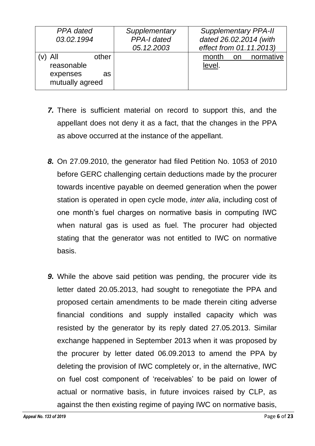| PPA dated                                                 |    | Supplementary      | <b>Supplementary PPA-II</b>  |
|-----------------------------------------------------------|----|--------------------|------------------------------|
| 03.02.1994                                                |    | <b>PPA-I dated</b> | dated 26.02.2014 (with       |
|                                                           |    | 05.12.2003         | effect from 01.11.2013)      |
| All<br>other<br>reasonable<br>expenses<br>mutually agreed | as |                    | month on normative<br>level. |

- *7.* There is sufficient material on record to support this, and the appellant does not deny it as a fact, that the changes in the PPA as above occurred at the instance of the appellant.
- *8.* On 27.09.2010, the generator had filed Petition No. 1053 of 2010 before GERC challenging certain deductions made by the procurer towards incentive payable on deemed generation when the power station is operated in open cycle mode, *inter alia*, including cost of one month's fuel charges on normative basis in computing IWC when natural gas is used as fuel. The procurer had objected stating that the generator was not entitled to IWC on normative basis.
- **9.** While the above said petition was pending, the procurer vide its letter dated 20.05.2013, had sought to renegotiate the PPA and proposed certain amendments to be made therein citing adverse financial conditions and supply installed capacity which was resisted by the generator by its reply dated 27.05.2013. Similar exchange happened in September 2013 when it was proposed by the procurer by letter dated 06.09.2013 to amend the PPA by deleting the provision of IWC completely or, in the alternative, IWC on fuel cost component of 'receivables' to be paid on lower of actual or normative basis, in future invoices raised by CLP, as against the then existing regime of paying IWC on normative basis,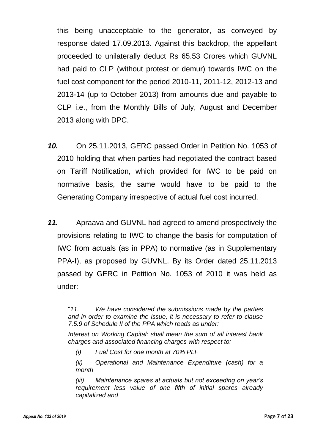this being unacceptable to the generator, as conveyed by response dated 17.09.2013. Against this backdrop, the appellant proceeded to unilaterally deduct Rs 65.53 Crores which GUVNL had paid to CLP (without protest or demur) towards IWC on the fuel cost component for the period 2010-11, 2011-12, 2012-13 and 2013-14 (up to October 2013) from amounts due and payable to CLP i.e., from the Monthly Bills of July, August and December 2013 along with DPC.

- *10.* On 25.11.2013, GERC passed Order in Petition No. 1053 of 2010 holding that when parties had negotiated the contract based on Tariff Notification, which provided for IWC to be paid on normative basis, the same would have to be paid to the Generating Company irrespective of actual fuel cost incurred.
- *11.* Apraava and GUVNL had agreed to amend prospectively the provisions relating to IWC to change the basis for computation of IWC from actuals (as in PPA) to normative (as in Supplementary PPA-I), as proposed by GUVNL. By its Order dated 25.11.2013 passed by GERC in Petition No. 1053 of 2010 it was held as under:

"*11. We have considered the submissions made by the parties and in order to examine the issue, it is necessary to refer to clause 7.5.9 of Schedule II of the PPA which reads as under:*

*Interest on Working Capital: shall mean the sum of all interest bank charges and associated financing charges with respect to:*

*(i) Fuel Cost for one month at 70% PLF*

*(ii) Operational and Maintenance Expenditure (cash) for a month* 

*(iii) Maintenance spares at actuals but not exceeding on year's requirement less value of one fifth of initial spares already capitalized and*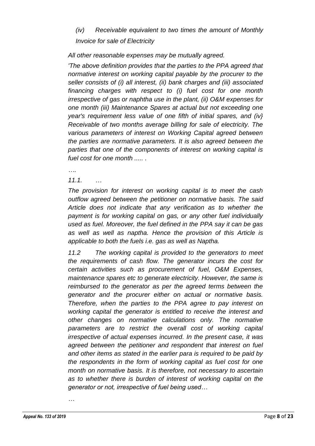### *(iv) Receivable equivalent to two times the amount of Monthly Invoice for sale of Electricity*

*All other reasonable expenses may be mutually agreed.* 

*'The above definition provides that the parties to the PPA agreed that normative interest on working capital payable by the procurer to the seller consists of (i) all interest, (ii) bank charges and (iii) associated financing charges with respect to (i) fuel cost for one month irrespective of gas or naphtha use in the plant, (ii) O&M expenses for one month (iii) Maintenance Spares at actual but not exceeding one year's requirement less value of one fifth of initial spares, and (iv} Receivable of two months average billing for sale of electricity. The various parameters of interest on Working Capital agreed between the parties are normative parameters. It is also agreed between the parties that one of the components of interest on working capital is fuel cost for one month ..... .*

*….*

*11.1. …* 

*The provision for interest on working capital is to meet the cash outflow agreed between the petitioner on normative basis. The said Article does not indicate that any verification as to whether the payment is for working capital on gas, or any other fuel individually used as fuel. Moreover, the fuel defined in the PPA say it can be gas as well as well as naptha. Hence the provision of this Article is applicable to both the fuels i.e. gas as well as Naptha.* 

*11.2 The working capital is provided to the generators to meet the requirements of cash flow. The generator incurs the cost for certain activities such as procurement of fuel, O&M Expenses, maintenance spares etc to generate electricity. However, the same is*  reimbursed to the generator as per the agreed terms between the *generator and the procurer either on actual or normative basis. Therefore, when the parties to the PPA agree to pay interest on working capital the generator is entitled to receive the interest and other changes on normative calculations only. The normative parameters are to restrict the overall cost of working capital irrespective of actual expenses incurred. In the present case, it was agreed between the petitioner and respondent that interest on fuel and other items as stated in the earlier para is required to be paid by the respondents in the form of working capital as fuel cost for one month on normative basis. It is therefore, not necessary to ascertain as to whether there is burden of interest of working capital on the generator or not, irrespective of fuel being used…*

*…*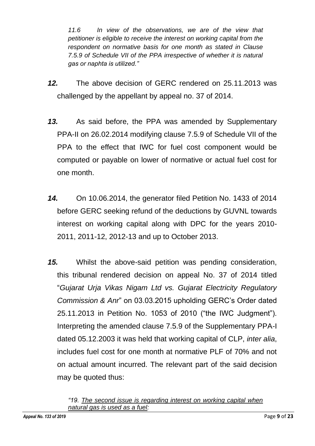*11.6 In view of the observations, we are of the view that petitioner is eligible to receive the interest on working capital from the respondent on normative basis for one month as stated in Clause 7.5.9 of Schedule VII of the PPA irrespective of whether it is natural gas or naphta is utilized."*

- *12.* The above decision of GERC rendered on 25.11.2013 was challenged by the appellant by appeal no. 37 of 2014.
- *13.* As said before, the PPA was amended by Supplementary PPA-II on 26.02.2014 modifying clause 7.5.9 of Schedule VII of the PPA to the effect that IWC for fuel cost component would be computed or payable on lower of normative or actual fuel cost for one month.
- *14.* On 10.06.2014, the generator filed Petition No. 1433 of 2014 before GERC seeking refund of the deductions by GUVNL towards interest on working capital along with DPC for the years 2010- 2011, 2011-12, 2012-13 and up to October 2013.
- *15.* Whilst the above-said petition was pending consideration, this tribunal rendered decision on appeal No. 37 of 2014 titled "*Gujarat Urja Vikas Nigam Ltd vs. Gujarat Electricity Regulatory Commission & Anr*" on 03.03.2015 upholding GERC's Order dated 25.11.2013 in Petition No. 1053 of 2010 ("the IWC Judgment"). Interpreting the amended clause 7.5.9 of the Supplementary PPA-I dated 05.12.2003 it was held that working capital of CLP, *inter alia*, includes fuel cost for one month at normative PLF of 70% and not on actual amount incurred. The relevant part of the said decision may be quoted thus:

*<sup>&</sup>quot;19. The second issue is regarding interest on working capital when natural gas is used as a fuel:*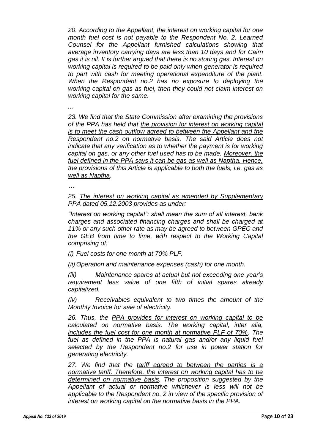*20. According to the Appellant, the interest on working capital for one month fuel cost is not payable to the Respondent No. 2. Learned Counsel for the Appellant furnished calculations showing that average inventory carrying days are less than 10 days and for Cairn gas it is nil. It is further argued that there is no storing gas. Interest on working capital is required to be paid only when generator is required to part with cash for meeting operational expenditure of the plant. When the Respondent no.2 has no exposure to deploying the working capital on gas as fuel, then they could not claim interest on working capital for the same.* 

*...*

*23. We find that the State Commission after examining the provisions of the PPA has held that the provision for interest on working capital is to meet the cash outflow agreed to between the Appellant and the Respondent no.2 on normative basis. The said Article does not indicate that any verification as to whether the payment is for working capital on gas, or any other fuel used has to be made. Moreover, the fuel defined in the PPA says it can be gas as well as Naptha. Hence, the provisions of this Article is applicable to both the fuels, i.e. gas as well as Naptha.*

*…*

*25. The interest on working capital as amended by Supplementary PPA dated 05.12.2003 provides as under:* 

*"Interest on working capital": shall mean the sum of all interest, bank charges and associated financing charges and shall be charged at 11% or any such other rate as may be agreed to between GPEC and the GEB from time to time, with respect to the Working Capital comprising of:* 

*(i) Fuel costs for one month at 70% PLF.* 

*(ii) Operation and maintenance expenses (cash) for one month.* 

*(iii) Maintenance spares at actual but not exceeding one year's requirement less value of one fifth of initial spares already capitalized.* 

*(iv) Receivables equivalent to two times the amount of the Monthly Invoice for sale of electricity.*

*26. Thus, the PPA provides for interest on working capital to be calculated on normative basis. The working capital, inter alia, includes the fuel cost for one month at normative PLF of 70%. The*  fuel as defined in the PPA is natural gas and/or any liquid fuel *selected by the Respondent no.2 for use in power station for generating electricity.*

*27. We find that the tariff agreed to between the parties is a normative tariff. Therefore, the interest on working capital has to be determined on normative basis. The proposition suggested by the Appellant of actual or normative whichever is less will not be applicable to the Respondent no. 2 in view of the specific provision of interest on working capital on the normative basis in the PPA.*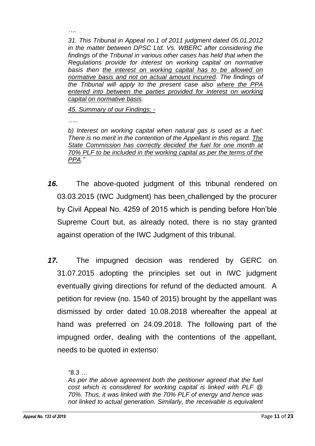*31. This Tribunal in Appeal no.1 of 2011 judgment dated 05.01.2012 in the matter between DPSC Ltd. Vs. WBERC after considering the findings of the Tribunal in various other cases has held that when the Regulations provide for interest on working capital on normative basis then the interest on working capital has to be allowed on normative basis and not on actual amount incurred. The findings of the Tribunal will apply to the present case also where the PPA*  entered into between the parties provided for interest on working *capital on normative basis.* 

*45. Summary of our Findings: -* 

*…..*

*….*

*b) Interest on working capital when natural gas is used as a fuel: There is no merit in the contention of the Appellant in this regard. The State Commission has correctly decided the fuel for one month at 70% PLF to be included in the working capital as per the terms of the PPA."*

- *16.* The above-quoted judgment of this tribunal rendered on 03.03.2015 (IWC Judgment) has been challenged by the procurer by Civil Appeal No. 4259 of 2015 which is pending before Hon'ble Supreme Court but, as already noted, there is no stay granted against operation of the IWC Judgment of this tribunal.
- *17.* The impugned decision was rendered by GERC on 31.07.2015 adopting the principles set out in IWC judgment eventually giving directions for refund of the deducted amount. A petition for review (no. 1540 of 2015) brought by the appellant was dismissed by order dated 10.08.2018 whereafter the appeal at hand was preferred on 24.09.2018. The following part of the impugned order, dealing with the contentions of the appellant, needs to be quoted in extenso:

*As per the above agreement both the petitioner agreed that the fuel cost which is considered for working capital is linked with PLF @ 70%. Thus, it was linked with the 70% PLF of energy and hence was not linked to actual generation. Similarly, the receivable is equivalent* 

*<sup>&</sup>quot;8.3 …*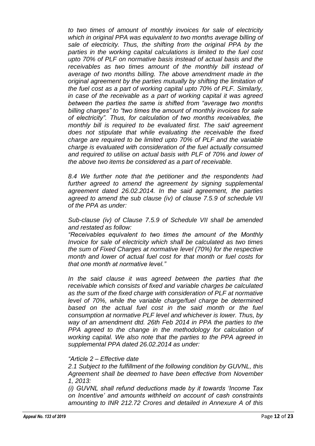*to two times of amount of monthly invoices for sale of electricity which in original PPA was equivalent to two months average billing of sale of electricity. Thus, the shifting from the original PPA by the parties in the working capital calculations is limited to the fuel cost upto 70% of PLF on normative basis instead of actual basis and the receivables as two times amount of the monthly bill instead of average of two months billing. The above amendment made in the original agreement by the parties mutually by shifting the limitation of the fuel cost as a part of working capital upto 70% of PLF. Similarly, in case of the receivable as a part of working capital it was agreed between the parties the same is shifted from "average two months billing charges" to "two times the amount of monthly invoices for sale of electricity". Thus, for calculation of two months receivables, the monthly bill is required to be evaluated first. The said agreement does not stipulate that while evaluating the receivable the fixed charge are required to be limited upto 70% of PLF and the variable charge is evaluated with consideration of the fuel actually consumed and required to utilise on actual basis with PLF of 70% and lower of the above two items be considered as a part of receivable.* 

*8.4 We further note that the petitioner and the respondents had*  further agreed to amend the agreement by signing supplemental *agreement dated 26.02.2014. In the said agreement, the parties agreed to amend the sub clause (iv) of clause 7.5.9 of schedule VII of the PPA as under:*

*Sub-clause (iv) of Clause 7.5.9 of Schedule VII shall be amended and restated as follow:* 

*"Receivables equivalent to two times the amount of the Monthly Invoice for sale of electricity which shall be calculated as two times the sum of Fixed Charges at normative level (70%) for the respective month and lower of actual fuel cost for that month or fuel costs for that one month at normative level."* 

In the said clause it was agreed between the parties that the *receivable which consists of fixed and variable charges be calculated as the sum of the fixed charge with consideration of PLF at normative level of 70%, while the variable charge/fuel charge be determined*  based on the actual fuel cost in the said month or the fuel *consumption at normative PLF level and whichever is lower. Thus, by way of an amendment dtd. 26th Feb 2014 in PPA the parties to the*  **PPA** agreed to the change in the methodology for calculation of *working capital. We also note that the parties to the PPA agreed in supplemental PPA dated 26.02.2014 as under:* 

#### *"Article 2 – Effective date*

*2.1 Subject to the fulfillment of the following condition by GUVNL, this Agreement shall be deemed to have been effective from November 1, 2013:* 

*(i) GUVNL shall refund deductions made by it towards 'Income Tax on Incentive' and amounts withheld on account of cash constraints amounting to INR 212.72 Crores and detailed in Annexure A of this*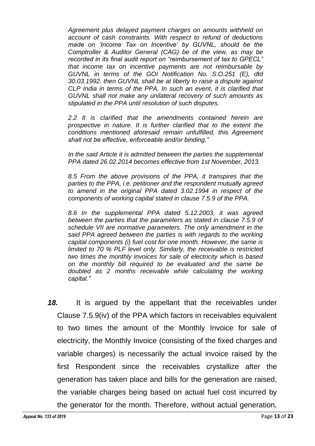*Agreement plus delayed payment charges on amounts withheld on account of cash constraints. With respect to refund of deductions made on 'Income Tax on Incentive' by GUVNL, should be the Comptroller & Auditor General (CAG) be of the view, as may be recorded in its final audit report on "reimbursement of tax to GPECL" that income tax on incentive payments are not reimbursable by GUVNL in terms of the GOI Notification No. S.O.251 (E), dtd 30.03.1992. then GUVNL shall be at liberty to raise a dispute against CLP India in terms of the PPA. In such an event, it is clarified that GUVNL shall not make any unilateral recovery of such amounts as stipulated in the PPA until resolution of such disputes.*

*2.2 It is clarified that the amendments contained herein are prospective in nature. It is further clarified that to the extent the conditions mentioned aforesaid remain unfulfilled, this Agreement shall not be effective, enforceable and/or binding."* 

*In the said Article it is admitted between the parties the supplemental PPA dated 26.02.2014 becomes effective from 1st November, 2013.*

*8.5 From the above provisions of the PPA, it transpires that the parties to the PPA, i.e. petitioner and the respondent mutually agreed to amend in the original PPA dated 3.02.1994 in respect of the components of working capital stated in clause 7.5.9 of the PPA.* 

*8.6 In the supplemental PPA dated 5.12.2003, it was agreed between the parties that the parameters as stated in clause 7.5.9 of schedule VII are normative parameters. The only amendment in the said PPA agreed between the parties is with regards to the working capital components (i) fuel cost for one month. However, the same is limited to 70 % PLF level only. Similarly, the receivable is restricted two times the monthly invoices for sale of electricity which is based on the monthly bill required to be evaluated and the same be doubled as 2 months receivable while calculating the working capital."*

*18.* It is argued by the appellant that the receivables under Clause 7.5.9(iv) of the PPA which factors in receivables equivalent to two times the amount of the Monthly Invoice for sale of electricity, the Monthly Invoice (consisting of the fixed charges and variable charges) is necessarily the actual invoice raised by the first Respondent since the receivables crystallize after the generation has taken place and bills for the generation are raised, the variable charges being based on actual fuel cost incurred by the generator for the month. Therefore, without actual generation,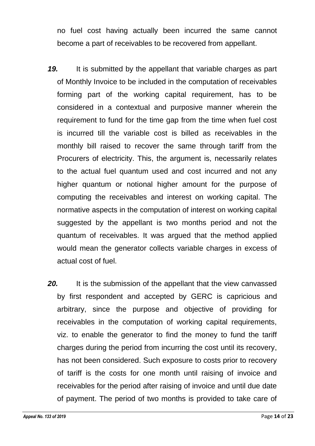no fuel cost having actually been incurred the same cannot become a part of receivables to be recovered from appellant.

- *19.* It is submitted by the appellant that variable charges as part of Monthly Invoice to be included in the computation of receivables forming part of the working capital requirement, has to be considered in a contextual and purposive manner wherein the requirement to fund for the time gap from the time when fuel cost is incurred till the variable cost is billed as receivables in the monthly bill raised to recover the same through tariff from the Procurers of electricity. This, the argument is, necessarily relates to the actual fuel quantum used and cost incurred and not any higher quantum or notional higher amount for the purpose of computing the receivables and interest on working capital. The normative aspects in the computation of interest on working capital suggested by the appellant is two months period and not the quantum of receivables. It was argued that the method applied would mean the generator collects variable charges in excess of actual cost of fuel.
- **20.** It is the submission of the appellant that the view canvassed by first respondent and accepted by GERC is capricious and arbitrary, since the purpose and objective of providing for receivables in the computation of working capital requirements, viz. to enable the generator to find the money to fund the tariff charges during the period from incurring the cost until its recovery, has not been considered. Such exposure to costs prior to recovery of tariff is the costs for one month until raising of invoice and receivables for the period after raising of invoice and until due date of payment. The period of two months is provided to take care of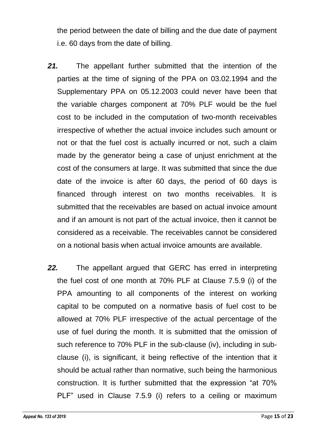the period between the date of billing and the due date of payment i.e. 60 days from the date of billing.

- *21.* The appellant further submitted that the intention of the parties at the time of signing of the PPA on 03.02.1994 and the Supplementary PPA on 05.12.2003 could never have been that the variable charges component at 70% PLF would be the fuel cost to be included in the computation of two-month receivables irrespective of whether the actual invoice includes such amount or not or that the fuel cost is actually incurred or not, such a claim made by the generator being a case of unjust enrichment at the cost of the consumers at large. It was submitted that since the due date of the invoice is after 60 days, the period of 60 days is financed through interest on two months receivables. It is submitted that the receivables are based on actual invoice amount and if an amount is not part of the actual invoice, then it cannot be considered as a receivable. The receivables cannot be considered on a notional basis when actual invoice amounts are available.
- *22.* The appellant argued that GERC has erred in interpreting the fuel cost of one month at 70% PLF at Clause 7.5.9 (i) of the PPA amounting to all components of the interest on working capital to be computed on a normative basis of fuel cost to be allowed at 70% PLF irrespective of the actual percentage of the use of fuel during the month. It is submitted that the omission of such reference to 70% PLF in the sub-clause (iv), including in subclause (i), is significant, it being reflective of the intention that it should be actual rather than normative, such being the harmonious construction. It is further submitted that the expression "at 70% PLF" used in Clause 7.5.9 (i) refers to a ceiling or maximum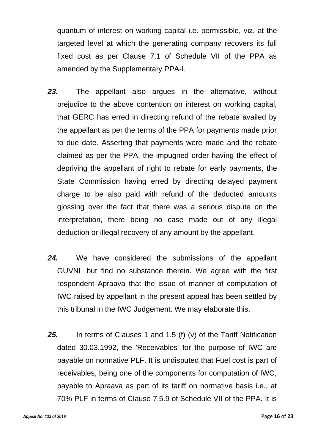quantum of interest on working capital i.e. permissible, viz. at the targeted level at which the generating company recovers its full fixed cost as per Clause 7.1 of Schedule VII of the PPA as amended by the Supplementary PPA-I.

- *23.* The appellant also argues in the alternative, without prejudice to the above contention on interest on working capital, that GERC has erred in directing refund of the rebate availed by the appellant as per the terms of the PPA for payments made prior to due date. Asserting that payments were made and the rebate claimed as per the PPA, the impugned order having the effect of depriving the appellant of right to rebate for early payments, the State Commission having erred by directing delayed payment charge to be also paid with refund of the deducted amounts glossing over the fact that there was a serious dispute on the interpretation, there being no case made out of any illegal deduction or illegal recovery of any amount by the appellant.
- *24.* We have considered the submissions of the appellant GUVNL but find no substance therein. We agree with the first respondent Apraava that the issue of manner of computation of IWC raised by appellant in the present appeal has been settled by this tribunal in the IWC Judgement. We may elaborate this.
- *25.* In terms of Clauses 1 and 1.5 (f) (v) of the Tariff Notification dated 30.03.1992, the 'Receivables' for the purpose of IWC are payable on normative PLF. It is undisputed that Fuel cost is part of receivables, being one of the components for computation of IWC, payable to Apraava as part of its tariff on normative basis i.e., at 70% PLF in terms of Clause 7.5.9 of Schedule VII of the PPA. It is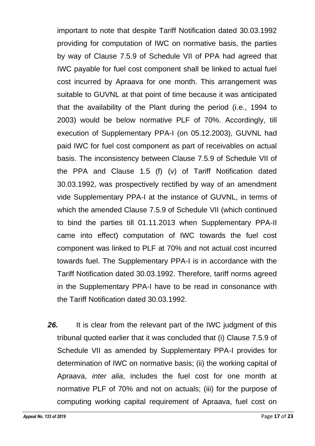important to note that despite Tariff Notification dated 30.03.1992 providing for computation of IWC on normative basis, the parties by way of Clause 7.5.9 of Schedule VII of PPA had agreed that IWC payable for fuel cost component shall be linked to actual fuel cost incurred by Apraava for one month. This arrangement was suitable to GUVNL at that point of time because it was anticipated that the availability of the Plant during the period (i.e., 1994 to 2003) would be below normative PLF of 70%. Accordingly, till execution of Supplementary PPA-I (on 05.12.2003), GUVNL had paid IWC for fuel cost component as part of receivables on actual basis. The inconsistency between Clause 7.5.9 of Schedule VII of the PPA and Clause 1.5 (f) (v) of Tariff Notification dated 30.03.1992, was prospectively rectified by way of an amendment vide Supplementary PPA-I at the instance of GUVNL, in terms of which the amended Clause 7.5.9 of Schedule VII (which continued to bind the parties till 01.11.2013 when Supplementary PPA-II came into effect) computation of IWC towards the fuel cost component was linked to PLF at 70% and not actual cost incurred towards fuel. The Supplementary PPA-I is in accordance with the Tariff Notification dated 30.03.1992. Therefore, tariff norms agreed in the Supplementary PPA-I have to be read in consonance with the Tariff Notification dated 30.03.1992.

**26.** It is clear from the relevant part of the IWC judgment of this tribunal quoted earlier that it was concluded that (i) Clause 7.5.9 of Schedule VII as amended by Supplementary PPA-I provides for determination of IWC on normative basis; (ii) the working capital of Apraava, *inter alia*, includes the fuel cost for one month at normative PLF of 70% and not on actuals; (iii) for the purpose of computing working capital requirement of Apraava, fuel cost on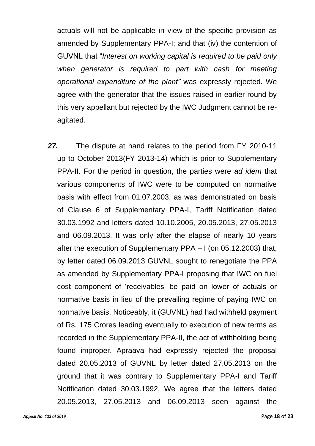actuals will not be applicable in view of the specific provision as amended by Supplementary PPA-I; and that (iv) the contention of GUVNL that "*Interest on working capital is required to be paid only when generator is required to part with cash for meeting operational expenditure of the plant"* was expressly rejected. We agree with the generator that the issues raised in earlier round by this very appellant but rejected by the IWC Judgment cannot be reagitated.

*27.* The dispute at hand relates to the period from FY 2010-11 up to October 2013(FY 2013-14) which is prior to Supplementary PPA-II. For the period in question, the parties were *ad idem* that various components of IWC were to be computed on normative basis with effect from 01.07.2003, as was demonstrated on basis of Clause 6 of Supplementary PPA-I, Tariff Notification dated 30.03.1992 and letters dated 10.10.2005, 20.05.2013, 27.05.2013 and 06.09.2013. It was only after the elapse of nearly 10 years after the execution of Supplementary PPA – I (on 05.12.2003) that, by letter dated 06.09.2013 GUVNL sought to renegotiate the PPA as amended by Supplementary PPA-I proposing that IWC on fuel cost component of 'receivables' be paid on lower of actuals or normative basis in lieu of the prevailing regime of paying IWC on normative basis. Noticeably, it (GUVNL) had had withheld payment of Rs. 175 Crores leading eventually to execution of new terms as recorded in the Supplementary PPA-II, the act of withholding being found improper. Apraava had expressly rejected the proposal dated 20.05.2013 of GUVNL by letter dated 27.05.2013 on the ground that it was contrary to Supplementary PPA-I and Tariff Notification dated 30.03.1992. We agree that the letters dated 20.05.2013, 27.05.2013 and 06.09.2013 seen against the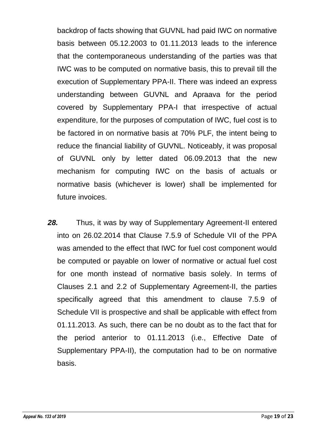backdrop of facts showing that GUVNL had paid IWC on normative basis between 05.12.2003 to 01.11.2013 leads to the inference that the contemporaneous understanding of the parties was that IWC was to be computed on normative basis, this to prevail till the execution of Supplementary PPA-II. There was indeed an express understanding between GUVNL and Apraava for the period covered by Supplementary PPA-I that irrespective of actual expenditure, for the purposes of computation of IWC, fuel cost is to be factored in on normative basis at 70% PLF, the intent being to reduce the financial liability of GUVNL. Noticeably, it was proposal of GUVNL only by letter dated 06.09.2013 that the new mechanism for computing IWC on the basis of actuals or normative basis (whichever is lower) shall be implemented for future invoices.

*28.* Thus, it was by way of Supplementary Agreement-II entered into on 26.02.2014 that Clause 7.5.9 of Schedule VII of the PPA was amended to the effect that IWC for fuel cost component would be computed or payable on lower of normative or actual fuel cost for one month instead of normative basis solely. In terms of Clauses 2.1 and 2.2 of Supplementary Agreement-II, the parties specifically agreed that this amendment to clause 7.5.9 of Schedule VII is prospective and shall be applicable with effect from 01.11.2013. As such, there can be no doubt as to the fact that for the period anterior to 01.11.2013 (i.e., Effective Date of Supplementary PPA-II), the computation had to be on normative basis.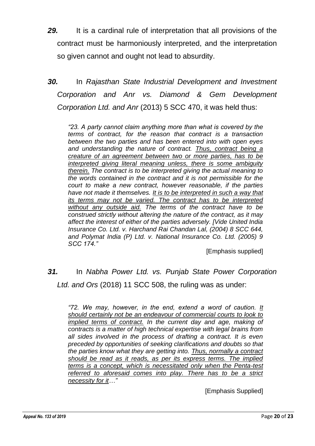- *29.* It is a cardinal rule of interpretation that all provisions of the contract must be harmoniously interpreted, and the interpretation so given cannot and ought not lead to absurdity.
- *30.* In *Rajasthan State Industrial Development and Investment Corporation and Anr vs. Diamond & Gem Development Corporation Ltd. and Anr* (2013) 5 SCC 470, it was held thus:

*"23. A party cannot claim anything more than what is covered by the terms of contract, for the reason that contract is a transaction between the two parties and has been entered into with open eyes and understanding the nature of contract. Thus, contract being a creature of an agreement between two or more parties, has to be interpreted giving literal meaning unless, there is some ambiguity therein. The contract is to be interpreted giving the actual meaning to the words contained in the contract and it is not permissible for the court to make a new contract, however reasonable, if the parties have not made it themselves. It is to be interpreted in such a way that its terms may not be varied. The contract has to be interpreted without any outside aid. The terms of the contract have to be construed strictly without altering the nature of the contract, as it may affect the interest of either of the parties adversely. [Vide United India Insurance Co. Ltd. v. Harchand Rai Chandan Lal, (2004) 8 SCC 644, and Polymat India (P) Ltd. v. National Insurance Co. Ltd. (2005) 9 SCC 174."*

[Emphasis supplied]

## *31.* In *Nabha Power Ltd. vs. Punjab State Power Corporation Ltd. and Ors* (2018) 11 SCC 508, the ruling was as under:

*"72. We may, however, in the end, extend a word of caution. It should certainly not be an endeavour of commercial courts to look to implied terms of contract. In the current day and age, making of contracts is a matter of high technical expertise with legal brains from all sides involved in the process of drafting a contract. It is even preceded by opportunities of seeking clarifications and doubts so that the parties know what they are getting into. Thus, normally a contract should be read as it reads, as per its express terms. The implied terms is a concept, which is necessitated only when the Penta-test referred to aforesaid comes into play. There has to be a strict necessity for it…"*

[Emphasis Supplied]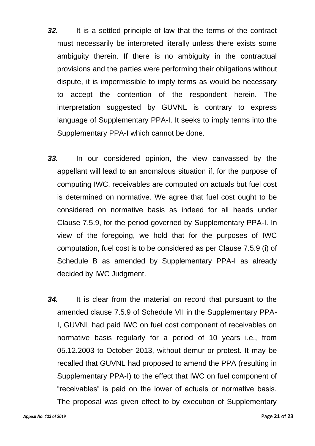- *32.* It is a settled principle of law that the terms of the contract must necessarily be interpreted literally unless there exists some ambiguity therein. If there is no ambiguity in the contractual provisions and the parties were performing their obligations without dispute, it is impermissible to imply terms as would be necessary to accept the contention of the respondent herein. The interpretation suggested by GUVNL is contrary to express language of Supplementary PPA-I. It seeks to imply terms into the Supplementary PPA-I which cannot be done.
- *33.* In our considered opinion, the view canvassed by the appellant will lead to an anomalous situation if, for the purpose of computing IWC, receivables are computed on actuals but fuel cost is determined on normative. We agree that fuel cost ought to be considered on normative basis as indeed for all heads under Clause 7.5.9, for the period governed by Supplementary PPA-I. In view of the foregoing, we hold that for the purposes of IWC computation, fuel cost is to be considered as per Clause 7.5.9 (i) of Schedule B as amended by Supplementary PPA-I as already decided by IWC Judgment.
- *34.* It is clear from the material on record that pursuant to the amended clause 7.5.9 of Schedule VII in the Supplementary PPA-I, GUVNL had paid IWC on fuel cost component of receivables on normative basis regularly for a period of 10 years i.e., from 05.12.2003 to October 2013, without demur or protest. It may be recalled that GUVNL had proposed to amend the PPA (resulting in Supplementary PPA-I) to the effect that IWC on fuel component of "receivables" is paid on the lower of actuals or normative basis. The proposal was given effect to by execution of Supplementary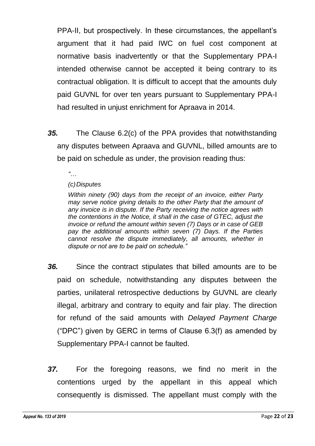PPA-II, but prospectively. In these circumstances, the appellant's argument that it had paid IWC on fuel cost component at normative basis inadvertently or that the Supplementary PPA-I intended otherwise cannot be accepted it being contrary to its contractual obligation. It is difficult to accept that the amounts duly paid GUVNL for over ten years pursuant to Supplementary PPA-I had resulted in unjust enrichment for Apraava in 2014.

- *35.* The Clause 6.2(c) of the PPA provides that notwithstanding any disputes between Apraava and GUVNL, billed amounts are to be paid on schedule as under, the provision reading thus:
	- *"…*

#### *(c)Disputes*

*Within ninety (90) days from the receipt of an invoice, either Party may serve notice giving details to the other Party that the amount of any invoice is in dispute. If the Party receiving the notice agrees with the contentions in the Notice, it shall in the case of GTEC, adjust the invoice or refund the amount within seven (7) Days or in case of GEB pay the additional amounts within seven (7) Days. If the Parties cannot resolve the dispute immediately, all amounts, whether in dispute or not are to be paid on schedule."*

- *36.* Since the contract stipulates that billed amounts are to be paid on schedule, notwithstanding any disputes between the parties, unilateral retrospective deductions by GUVNL are clearly illegal, arbitrary and contrary to equity and fair play. The direction for refund of the said amounts with *Delayed Payment Charge* ("DPC") given by GERC in terms of Clause 6.3(f) as amended by Supplementary PPA-I cannot be faulted.
- *37.* For the foregoing reasons, we find no merit in the contentions urged by the appellant in this appeal which consequently is dismissed. The appellant must comply with the